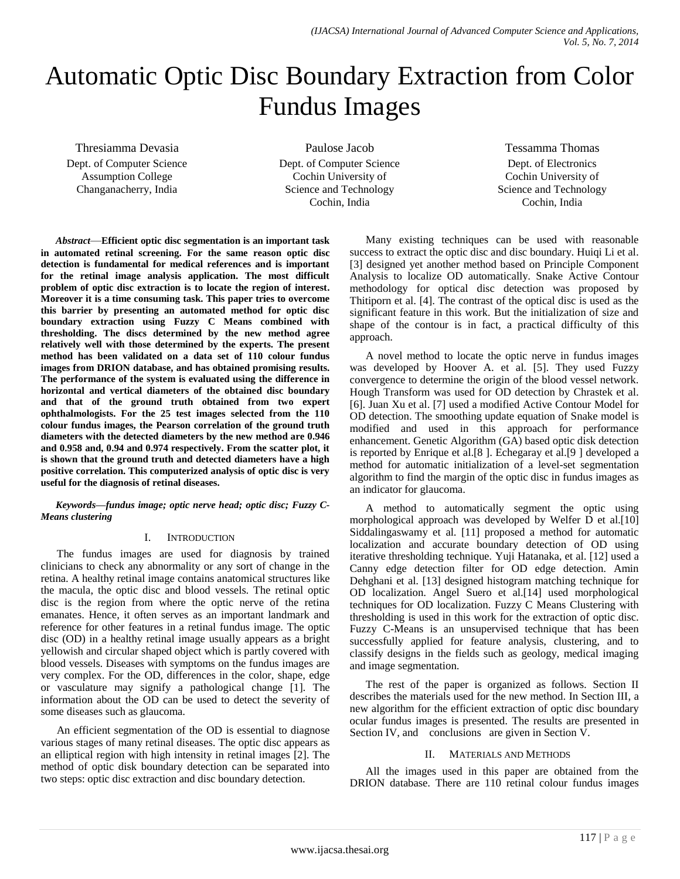# Automatic Optic Disc Boundary Extraction from Color Fundus Images

Thresiamma Devasia Dept. of Computer Science Assumption College Changanacherry, India

Paulose Jacob Dept. of Computer Science Cochin University of Science and Technology Cochin, India

Tessamma Thomas Dept. of Electronics Cochin University of Science and Technology Cochin, India

*Abstract*—**Efficient optic disc segmentation is an important task in automated retinal screening. For the same reason optic disc detection is fundamental for medical references and is important for the retinal image analysis application. The most difficult problem of optic disc extraction is to locate the region of interest. Moreover it is a time consuming task. This paper tries to overcome this barrier by presenting an automated method for optic disc boundary extraction using Fuzzy C Means combined with thresholding. The discs determined by the new method agree relatively well with those determined by the experts. The present method has been validated on a data set of 110 colour fundus images from DRION database, and has obtained promising results. The performance of the system is evaluated using the difference in horizontal and vertical diameters of the obtained disc boundary and that of the ground truth obtained from two expert ophthalmologists. For the 25 test images selected from the 110 colour fundus images, the Pearson correlation of the ground truth diameters with the detected diameters by the new method are 0.946 and 0.958 and, 0.94 and 0.974 respectively. From the scatter plot, it is shown that the ground truth and detected diameters have a high positive correlation. This computerized analysis of optic disc is very useful for the diagnosis of retinal diseases.**

#### *Keywords—fundus image; optic nerve head; optic disc; Fuzzy C-Means clustering*

# I. INTRODUCTION

The fundus images are used for diagnosis by trained clinicians to check any abnormality or any sort of change in the retina. A healthy retinal image contains anatomical structures like the macula, the optic disc and blood vessels. The retinal optic disc is the region from where the optic nerve of the retina emanates. Hence, it often serves as an important landmark and reference for other features in a retinal fundus image. The optic disc (OD) in a healthy retinal image usually appears as a bright yellowish and circular shaped object which is partly covered with blood vessels. Diseases with symptoms on the fundus images are very complex. For the OD, differences in the color, shape, edge or vasculature may signify a pathological change [1]. The information about the OD can be used to detect the severity of some diseases such as glaucoma.

An efficient segmentation of the OD is essential to diagnose various stages of many retinal diseases. The optic disc appears as an elliptical region with high intensity in retinal images [2]. The method of optic disk boundary detection can be separated into two steps: optic disc extraction and disc boundary detection.

Many existing techniques can be used with reasonable success to extract the optic disc and disc boundary. Huiqi Li et al. [3] designed yet another method based on Principle Component Analysis to localize OD automatically. Snake Active Contour methodology for optical disc detection was proposed by Thitiporn et al. [4]. The contrast of the optical disc is used as the significant feature in this work. But the initialization of size and shape of the contour is in fact, a practical difficulty of this approach.

[A novel method to locate the optic nerve in fundus images](http://ieeexplore.ieee.org/search/searchresult.jsp?searchWithin=Authors:.QT.Hoover,%20A..QT.&newsearch=partialPref) [was developed by Hoover A.](http://ieeexplore.ieee.org/search/searchresult.jsp?searchWithin=Authors:.QT.Hoover,%20A..QT.&newsearch=partialPref) et al. [5]. They used Fuzzy convergence to determine the origin of the blood vessel network. Hough Transform was used for OD detection by Chrastek et al. [6]. Juan Xu et al. [7] used a modified Active Contour Model for OD detection. The smoothing update equation of Snake model is modified and used in this approach for performance enhancement. Genetic Algorithm (GA) based optic disk detection is reported by Enrique et al.[8 ]. Echegaray et al.[9 ] developed a method for automatic initialization of a level-set segmentation algorithm to find the margin of the optic disc in fundus images as an indicator for glaucoma.

A method to automatically segment the optic using morphological approach was developed by Welfer D et al.[10] Siddalingaswamy et al. [11] proposed a method for automatic localization and accurate boundary detection of OD using iterative thresholding technique. Yuji Hatanaka, et al. [12] used a Canny edge detection filter for OD edge detection. Amin Dehghani et al. [13] designed histogram matching technique for OD localization. Angel Suero et al.[14] used morphological techniques for OD localization. Fuzzy C Means Clustering with thresholding is used in this work for the extraction of optic disc. Fuzzy C-Means is an unsupervised technique that has been successfully applied for feature analysis, clustering, and to classify designs in the fields such as geology, medical imaging and image segmentation.

The rest of the paper is organized as follows. Section II describes the materials used for the new method. In Section III, a new algorithm for the efficient extraction of optic disc boundary ocular fundus images is presented. The results are presented in Section IV, and conclusions are given in Section V.

# II. MATERIALS AND METHODS

All the images used in this paper are obtained from the DRION database. There are 110 retinal colour fundus images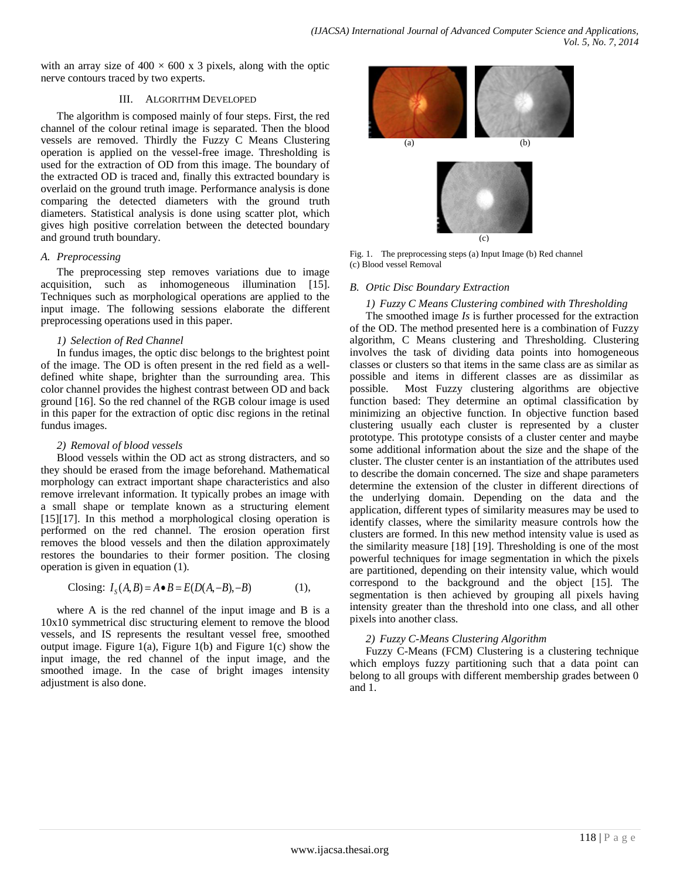with an array size of  $400 \times 600$  x 3 pixels, along with the optic nerve contours traced by two experts.

#### III. ALGORITHM DEVELOPED

The algorithm is composed mainly of four steps. First, the red channel of the colour retinal image is separated. Then the blood vessels are removed. Thirdly the Fuzzy C Means Clustering operation is applied on the vessel-free image. Thresholding is used for the extraction of OD from this image. The boundary of the extracted OD is traced and, finally this extracted boundary is overlaid on the ground truth image. Performance analysis is done comparing the detected diameters with the ground truth diameters. Statistical analysis is done using scatter plot, which gives high positive correlation between the detected boundary and ground truth boundary.

#### *A. Preprocessing*

The preprocessing step removes variations due to image acquisition, such as inhomogeneous illumination [15]. Techniques such as morphological operations are applied to the input image. The following sessions elaborate the different preprocessing operations used in this paper.

#### *1) Selection of Red Channel*

In fundus images, the optic disc belongs to the brightest point of the image. The OD is often present in the red field as a welldefined white shape, brighter than the surrounding area. This color channel provides the highest contrast between OD and back ground [16]. So the red channel of the RGB colour image is used in this paper for the extraction of optic disc regions in the retinal fundus images.

#### *2) Removal of blood vessels*

Blood vessels within the OD act as strong distracters, and so they should be erased from the image beforehand. Mathematical morphology can extract important shape characteristics and also remove irrelevant information. It typically probes an image with a small shape or template known as a structuring element [15][17]. In this method a morphological closing operation is performed on the red channel. The erosion operation first removes the blood vessels and then the dilation approximately restores the boundaries to their former position. The closing operation is given in equation (1).

$$
\text{Closing: } I_{S}(A, B) = A \bullet B = E(D(A, -B), -B) \tag{1},
$$

where A is the red channel of the input image and B is a 10x10 symmetrical disc structuring element to remove the blood vessels, and IS represents the resultant vessel free, smoothed output image. Figure 1(a), Figure 1(b) and Figure 1(c) show the input image, the red channel of the input image, and the smoothed image. In the case of bright images intensity adjustment is also done.



Fig. 1. The preprocessing steps (a) Input Image (b) Red channel (c) Blood vessel Removal

#### *B. OPtic Disc Boundary Extraction*

#### *1) Fuzzy C Means Clustering combined with Thresholding*

The smoothed image *Is* is further processed for the extraction of the OD. The method presented here is a combination of Fuzzy algorithm, C Means clustering and Thresholding. Clustering involves the task of dividing data points into homogeneous classes or clusters so that items in the same class are as similar as possible and items in different classes are as dissimilar as possible. Most Fuzzy clustering algorithms are objective function based: They determine an optimal classification by minimizing an objective function. In objective function based clustering usually each cluster is represented by a cluster prototype. This prototype consists of a cluster center and maybe some additional information about the size and the shape of the cluster. The cluster center is an instantiation of the attributes used to describe the domain concerned. The size and shape parameters determine the extension of the cluster in different directions of the underlying domain. Depending on the data and the application, different types of similarity measures may be used to identify classes, where the similarity measure controls how the clusters are formed. In this new method intensity value is used as the similarity measure [18] [19]. Thresholding is one of the most powerful techniques for image segmentation in which the pixels are partitioned, depending on their intensity value, which would correspond to the background and the object [15]. The segmentation is then achieved by grouping all pixels having intensity greater than the threshold into one class, and all other pixels into another class.

# *2) Fuzzy C-Means Clustering Algorithm*

Fuzzy C-Means (FCM) Clustering is a clustering technique which employs fuzzy partitioning such that a data point can belong to all groups with different membership grades between 0 and 1.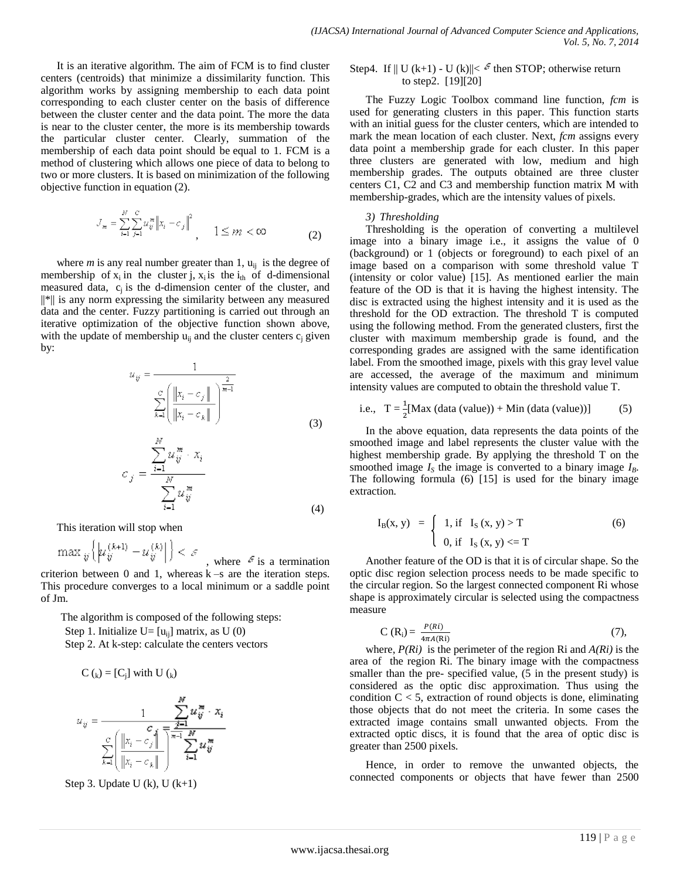It is an iterative algorithm. The aim of FCM is to find cluster centers (centroids) that minimize a dissimilarity function. This algorithm works by assigning membership to each data point corresponding to each cluster center on the basis of difference between the cluster center and the data point. The more the data is near to the cluster center, the more is its membership towards the particular cluster center. Clearly, summation of the membership of each data point should be equal to 1. FCM is a method of clustering which allows one piece of data to belong to two or more clusters. It is based on minimization of the following objective function in equation (2).

$$
J_{\mathfrak{m}} = \sum_{i=1}^{N} \sum_{j=1}^{C} u_{ij}^{\mathfrak{m}} \| x_i - c_j \|_{\infty}^2
$$
 1 \le m < \infty (2)

where *m* is any real number greater than 1,  $u_{ii}$  is the degree of membership of  $x_i$  in the cluster j,  $x_i$  is the  $i_{th}$  of d-dimensional measured data,  $c_j$  is the d-dimension center of the cluster, and ||\*|| is any norm expressing the similarity between any measured data and the center. Fuzzy partitioning is carried out through an iterative optimization of the objective function shown above, with the update of membership  $u_{ii}$  and the cluster centers  $c_i$  given by:

$$
u_{ij} = \frac{1}{\sum_{k=1}^{C} \left( \frac{\left\| x_i - c_j \right\|}{\left\| x_i - c_k \right\|} \right)^{\frac{2}{m-1}}}
$$
\n
$$
\sum_{i=1}^{N} u_{ij}^{m} \cdot x_i
$$
\n(3)

$$
c_j = \frac{\overline{i-1}}{\sum_{i=1}^{N} u_{ij}^m}
$$
\n
$$
(4)
$$

This iteration will stop when

 $\mathbf{r}$ 

$$
\max_{\hat{y}} \left\{ \left| u_{\hat{y}}^{(k+1)} - u_{\hat{y}}^{(k)} \right| \right\} < \varepsilon
$$

where  $\epsilon$  is a termination criterion between  $0$  and  $1$ , whereas  $k - s$  are the iteration steps. This procedure converges to a local minimum or a saddle point of Jm.

The algorithm is composed of the following steps: Step 1. Initialize  $U=[u_{ii}]$  matrix, as U (0)

Step 2. At k-step: calculate the centers vectors

$$
C\left(\mathrm{k}\right) = [C_{\mathrm{j}}] \text{ with } U\left(\mathrm{k}\right)
$$

$$
u_{ij} = \frac{1}{\sum_{k=1}^{C} (||x_i - c_j||)} \frac{\sum_{j=1}^{N} u_{ij}^m \cdot x_i}{\left|\frac{||x_i - c_j||}{||x_i - c_k||}\right|} \sum_{i=1}^{N} u_{ij}^m
$$



# Step4. If  $||U(k+1) - U(k)|| < \epsilon^2$  then STOP; otherwise return to step2. [19][20]

The Fuzzy Logic Toolbox command line function, *fcm* is used for generating clusters in this paper. This function starts with an initial guess for the cluster centers, which are intended to mark the mean location of each cluster. Next, *fcm* assigns every data point a membership grade for each cluster. In this paper three clusters are generated with low, medium and high membership grades. The outputs obtained are three cluster centers C1, C2 and C3 and membership function matrix M with membership-grades, which are the intensity values of pixels.

#### *3) Thresholding*

Thresholding is the operation of converting a multilevel image into a binary image i.e., it assigns the value of 0 (background) or 1 (objects or foreground) to each pixel of an image based on a comparison with some threshold value T (intensity or color value) [15]. As mentioned earlier the main feature of the OD is that it is having the highest intensity. The disc is extracted using the highest intensity and it is used as the threshold for the OD extraction. The threshold T is computed using the following method. From the generated clusters, first the cluster with maximum membership grade is found, and the corresponding grades are assigned with the same identification label. From the smoothed image, pixels with this gray level value are accessed, the average of the maximum and minimum intensity values are computed to obtain the threshold value T.

i.e., 
$$
T = \frac{1}{2}
$$
[Max (data (value)) + Min (data (value))] (5)

In the above equation, data represents the data points of the smoothed image and label represents the cluster value with the highest membership grade. By applying the threshold T on the smoothed image  $I<sub>S</sub>$  the image is converted to a binary image  $I<sub>B</sub>$ . The following formula (6) [15] is used for the binary image extraction.

$$
I_B(x, y) = \begin{cases} 1, & \text{if } I_S(x, y) > T \\ 0, & \text{if } I_S(x, y) < T \end{cases}
$$
 (6)

Another feature of the OD is that it is of circular shape. So the optic disc region selection process needs to be made specific to the circular region. So the largest connected component Ri whose shape is approximately circular is selected using the compactness measure

$$
C(R_i) = \frac{P(Ri)}{4\pi A(Ri)}
$$
 (7),

where, *P(Ri)* is the perimeter of the region Ri and *A(Ri)* is the area of the region Ri. The binary image with the compactness smaller than the pre- specified value, (5 in the present study) is considered as the optic disc approximation. Thus using the condition  $C < 5$ , extraction of round objects is done, eliminating those objects that do not meet the criteria. In some cases the extracted image contains small unwanted objects. From the extracted optic discs, it is found that the area of optic disc is greater than 2500 pixels.

Hence, in order to remove the unwanted objects, the connected components or objects that have fewer than 2500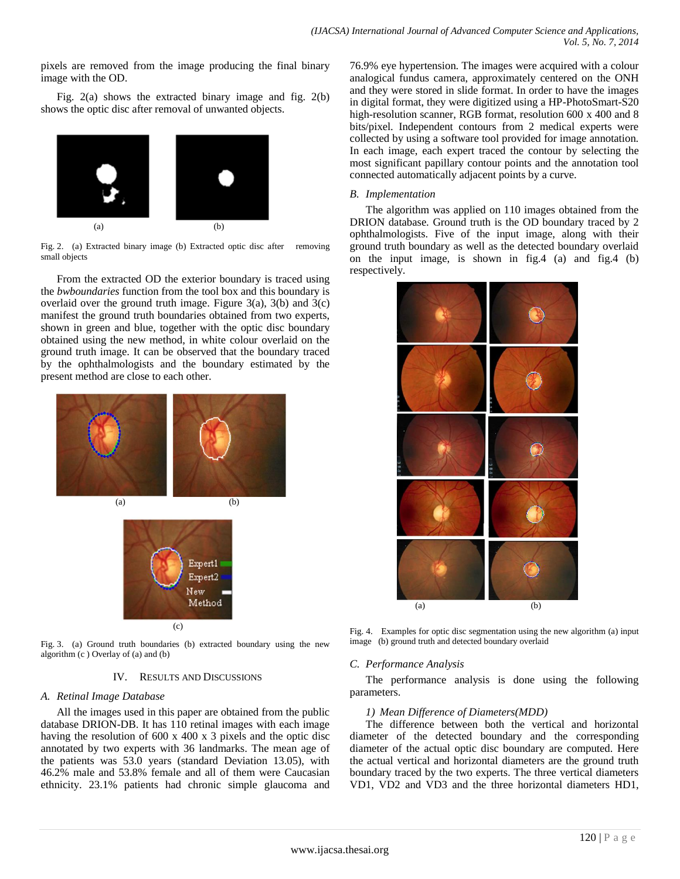pixels are removed from the image producing the final binary image with the OD.

Fig. 2(a) shows the extracted binary image and fig. 2(b) shows the optic disc after removal of unwanted objects.



Fig. 2. (a) Extracted binary image (b) Extracted optic disc after removing small objects

From the extracted OD the exterior boundary is traced using the *bwboundaries* function from the tool box and this boundary is overlaid over the ground truth image. Figure  $3(a)$ ,  $3(b)$  and  $3(c)$ manifest the ground truth boundaries obtained from two experts, shown in green and blue, together with the optic disc boundary obtained using the new method, in white colour overlaid on the ground truth image. It can be observed that the boundary traced by the ophthalmologists and the boundary estimated by the present method are close to each other.



 $(c)$ 

Method

Fig. 3. (a) Ground truth boundaries (b) extracted boundary using the new algorithm (c ) Overlay of (a) and (b)

# IV. RESULTS AND DISCUSSIONS

# *A. Retinal Image Database*

All the images used in this paper are obtained from the public database DRION-DB. It has 110 retinal images with each image having the resolution of 600 x 400 x 3 pixels and the optic disc annotated by two experts with 36 landmarks. The mean age of the patients was 53.0 years (standard Deviation 13.05), with 46.2% male and 53.8% female and all of them were Caucasian ethnicity. 23.1% patients had chronic simple glaucoma and 76.9% eye hypertension. The images were acquired with a colour analogical fundus camera, approximately centered on the ONH and they were stored in slide format. In order to have the images in digital format, they were digitized using a HP-PhotoSmart-S20 high-resolution scanner, RGB format, resolution 600 x 400 and 8 bits/pixel. Independent contours from 2 medical experts were collected by using a software tool provided for image annotation. In each image, each expert traced the contour by selecting the most significant papillary contour points and the annotation tool connected automatically adjacent points by a curve.

# *B. Implementation*

The algorithm was applied on 110 images obtained from the DRION database. Ground truth is the OD boundary traced by 2 ophthalmologists. Five of the input image, along with their ground truth boundary as well as the detected boundary overlaid on the input image, is shown in fig.4 (a) and fig.4 (b) respectively.



Fig. 4. Examples for optic disc segmentation using the new algorithm (a) input image (b) ground truth and detected boundary overlaid

# *C. Performance Analysis*

The performance analysis is done using the following parameters.

# *1) Mean Difference of Diameters(MDD)*

The difference between both the vertical and horizontal diameter of the detected boundary and the corresponding diameter of the actual optic disc boundary are computed. Here the actual vertical and horizontal diameters are the ground truth boundary traced by the two experts. The three vertical diameters VD1, VD2 and VD3 and the three horizontal diameters HD1,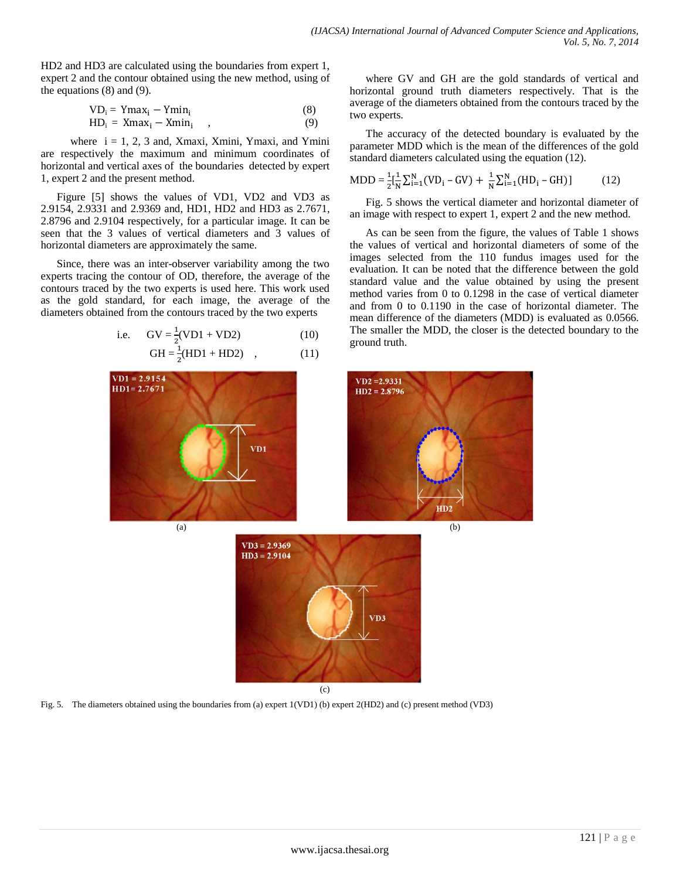HD2 and HD3 are calculated using the boundaries from expert 1, expert 2 and the contour obtained using the new method, using of the equations (8) and (9).

$$
VD_i = Ymax_i - Ymin_i
$$
\n
$$
HD_i = Xmax_i - Xmin_i , \qquad (8)
$$
\n
$$
(9)
$$

where  $i = 1, 2, 3$  and, Xmaxi, Xmini, Ymaxi, and Ymini are respectively the maximum and minimum coordinates of horizontal and vertical axes of the boundaries detected by expert 1, expert 2 and the present method.

Figure [5] shows the values of VD1, VD2 and VD3 as 2.9154, 2.9331 and 2.9369 and, HD1, HD2 and HD3 as 2.7671, 2.8796 and 2.9104 respectively, for a particular image. It can be seen that the 3 values of vertical diameters and 3 values of horizontal diameters are approximately the same.

Since, there was an inter-observer variability among the two experts tracing the contour of OD, therefore, the average of the contours traced by the two experts is used here. This work used as the gold standard, for each image, the average of the diameters obtained from the contours traced by the two experts

i.e. 
$$
GV = \frac{1}{2}(VD1 + VD2)
$$
 (10)

$$
GH = \frac{1}{2}(HD1 + HD2) , \t(11)
$$

where GV and GH are the gold standards of vertical and horizontal ground truth diameters respectively. That is the average of the diameters obtained from the contours traced by the two experts.

The accuracy of the detected boundary is evaluated by the parameter MDD which is the mean of the differences of the gold standard diameters calculated using the equation (12).

$$
MDD = \frac{1}{2} \left[ \frac{1}{N} \sum_{i=1}^{N} (VD_i - GV) + \frac{1}{N} \sum_{i=1}^{N} (HD_i - GH) \right]
$$
 (12)

Fig. 5 shows the vertical diameter and horizontal diameter of an image with respect to expert 1, expert 2 and the new method.

As can be seen from the figure, the values of Table 1 shows the values of vertical and horizontal diameters of some of the images selected from the 110 fundus images used for the evaluation. It can be noted that the difference between the gold standard value and the value obtained by using the present method varies from 0 to 0.1298 in the case of vertical diameter and from 0 to 0.1190 in the case of horizontal diameter. The mean difference of the diameters (MDD) is evaluated as 0.0566. The smaller the MDD, the closer is the detected boundary to the ground truth.



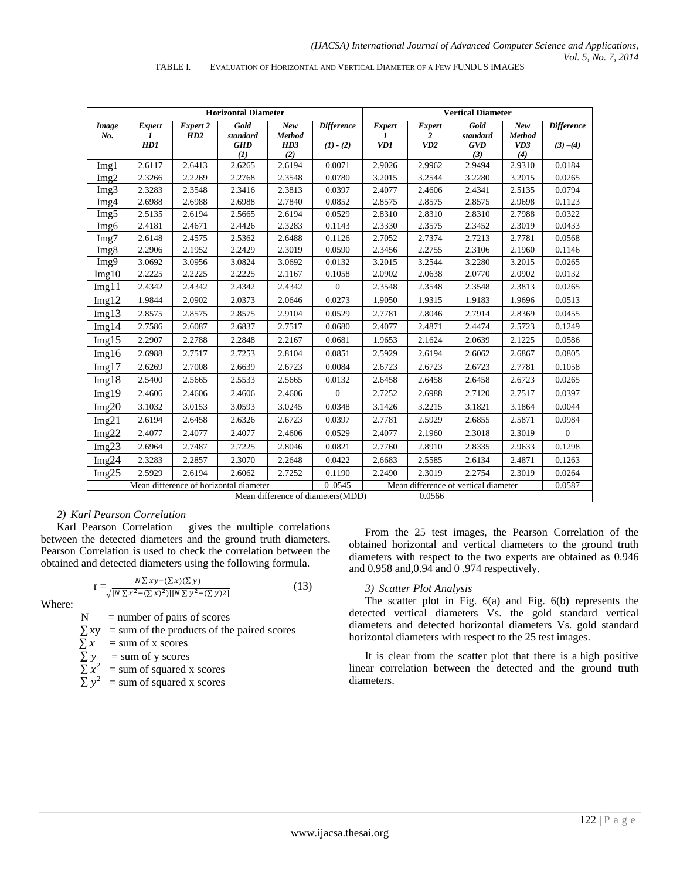|                                             | <b>Horizontal Diameter</b> |          |                   |               |                   | <b>Vertical Diameter</b> |                                      |                   |               |                   |
|---------------------------------------------|----------------------------|----------|-------------------|---------------|-------------------|--------------------------|--------------------------------------|-------------------|---------------|-------------------|
| Image                                       | <b>Expert</b>              | Expert 2 | Gold              | New           | <b>Difference</b> | <b>Expert</b>            | <b>Expert</b>                        | Gold              | New           | <b>Difference</b> |
| No.                                         | 1                          | HD2      | standard          | <b>Method</b> |                   | 1                        | 2                                    | standard          | <b>Method</b> |                   |
|                                             | HDI                        |          | <b>GHD</b><br>(1) | HD3<br>(2)    | $(1) - (2)$       | VD1                      | VD2                                  | <b>GVD</b><br>(3) | VD3<br>(4)    | $(3)-(4)$         |
| Img1                                        | 2.6117                     | 2.6413   | 2.6265            | 2.6194        | 0.0071            | 2.9026                   | 2.9962                               | 2.9494            | 2.9310        | 0.0184            |
| Img2                                        | 2.3266                     | 2.2269   | 2.2768            | 2.3548        | 0.0780            | 3.2015                   | 3.2544                               | 3.2280            | 3.2015        | 0.0265            |
| Img3                                        | 2.3283                     | 2.3548   | 2.3416            | 2.3813        | 0.0397            | 2.4077                   | 2.4606                               | 2.4341            | 2.5135        | 0.0794            |
| Img4                                        | 2.6988                     | 2.6988   | 2.6988            | 2.7840        | 0.0852            | 2.8575                   | 2.8575                               | 2.8575            | 2.9698        | 0.1123            |
| Img5                                        | 2.5135                     | 2.6194   | 2.5665            | 2.6194        | 0.0529            | 2.8310                   | 2.8310                               | 2.8310            | 2.7988        | 0.0322            |
| Img6                                        | 2.4181                     | 2.4671   | 2.4426            | 2.3283        | 0.1143            | 2.3330                   | 2.3575                               | 2.3452            | 2.3019        | 0.0433            |
| Img7                                        | 2.6148                     | 2.4575   | 2.5362            | 2.6488        | 0.1126            | 2.7052                   | 2.7374                               | 2.7213            | 2.7781        | 0.0568            |
| Img8                                        | 2.2906                     | 2.1952   | 2.2429            | 2.3019        | 0.0590            | 2.3456                   | 2.2755                               | 2.3106            | 2.1960        | 0.1146            |
| Img9                                        | 3.0692                     | 3.0956   | 3.0824            | 3.0692        | 0.0132            | 3.2015                   | 3.2544                               | 3.2280            | 3.2015        | 0.0265            |
| Img10                                       | 2.2225                     | 2.2225   | 2.2225            | 2.1167        | 0.1058            | 2.0902                   | 2.0638                               | 2.0770            | 2.0902        | 0.0132            |
| Img11                                       | 2.4342                     | 2.4342   | 2.4342            | 2.4342        | $\mathbf{0}$      | 2.3548                   | 2.3548                               | 2.3548            | 2.3813        | 0.0265            |
| Img12                                       | 1.9844                     | 2.0902   | 2.0373            | 2.0646        | 0.0273            | 1.9050                   | 1.9315                               | 1.9183            | 1.9696        | 0.0513            |
| Img13                                       | 2.8575                     | 2.8575   | 2.8575            | 2.9104        | 0.0529            | 2.7781                   | 2.8046                               | 2.7914            | 2.8369        | 0.0455            |
| Img14                                       | 2.7586                     | 2.6087   | 2.6837            | 2.7517        | 0.0680            | 2.4077                   | 2.4871                               | 2.4474            | 2.5723        | 0.1249            |
| Img15                                       | 2.2907                     | 2.2788   | 2.2848            | 2.2167        | 0.0681            | 1.9653                   | 2.1624                               | 2.0639            | 2.1225        | 0.0586            |
| Img16                                       | 2.6988                     | 2.7517   | 2.7253            | 2.8104        | 0.0851            | 2.5929                   | 2.6194                               | 2.6062            | 2.6867        | 0.0805            |
| Img17                                       | 2.6269                     | 2.7008   | 2.6639            | 2.6723        | 0.0084            | 2.6723                   | 2.6723                               | 2.6723            | 2.7781        | 0.1058            |
| Img18                                       | 2.5400                     | 2.5665   | 2.5533            | 2.5665        | 0.0132            | 2.6458                   | 2.6458                               | 2.6458            | 2.6723        | 0.0265            |
| Img19                                       | 2.4606                     | 2.4606   | 2.4606            | 2.4606        | $\overline{0}$    | 2.7252                   | 2.6988                               | 2.7120            | 2.7517        | 0.0397            |
| Img20                                       | 3.1032                     | 3.0153   | 3.0593            | 3.0245        | 0.0348            | 3.1426                   | 3.2215                               | 3.1821            | 3.1864        | 0.0044            |
| Img21                                       | 2.6194                     | 2.6458   | 2.6326            | 2.6723        | 0.0397            | 2.7781                   | 2.5929                               | 2.6855            | 2.5871        | 0.0984            |
| Img22                                       | 2.4077                     | 2.4077   | 2.4077            | 2.4606        | 0.0529            | 2.4077                   | 2.1960                               | 2.3018            | 2.3019        | $\overline{0}$    |
| Img $23$                                    | 2.6964                     | 2.7487   | 2.7225            | 2.8046        | 0.0821            | 2.7760                   | 2.8910                               | 2.8335            | 2.9633        | 0.1298            |
| Img24                                       | 2.3283                     | 2.2857   | 2.3070            | 2.2648        | 0.0422            | 2.6683                   | 2.5585                               | 2.6134            | 2.4871        | 0.1263            |
| Img25                                       | 2.5929                     | 2.6194   | 2.6062            | 2.7252        | 0.1190            | 2.2490                   | 2.3019                               | 2.2754            | 2.3019        | 0.0264            |
| Mean difference of horizontal diameter      |                            |          |                   |               | 0.0545            |                          | Mean difference of vertical diameter |                   |               |                   |
| Mean difference of diameters(MDD)<br>0.0566 |                            |          |                   |               |                   |                          |                                      |                   |               |                   |

#### TABLE I. EVALUATION OF HORIZONTAL AND VERTICAL DIAMETER OF A FEW FUNDUS IMAGES

# *2) Karl Pearson Correlation*

Karl Pearson Correlation gives the multiple correlations between the detected diameters and the ground truth diameters. Pearson Correlation is used to check the correlation between the obtained and detected diameters using the following formula.

$$
r = \frac{N \sum xy - (\sum x)(\sum y)}{\sqrt{[N \sum x^2 - (\sum x)^2)][N \sum y^2 - (\sum y)^2]}}
$$
(13)

Where:

 $N =$  number of pairs of scores

 $\sum xy$  = sum of the products of the paired scores

 $\sum x$  = sum of x scores

$$
\sum y = \text{sum of y scores}
$$

$$
\sum x_i^2 = \text{sum of squared x scores}
$$

 $\sum y^2$  = sum of squared x scores

From the 25 test images, the Pearson Correlation of the obtained horizontal and vertical diameters to the ground truth diameters with respect to the two experts are obtained as 0.946 and 0.958 and,0.94 and 0 .974 respectively.

# *3) Scatter Plot Analysis*

The scatter plot in Fig. 6(a) and Fig. 6(b) represents the detected vertical diameters Vs. the gold standard vertical diameters and detected horizontal diameters Vs. gold standard horizontal diameters with respect to the 25 test images.

It is clear from the scatter plot that there is a high positive linear correlation between the detected and the ground truth diameters.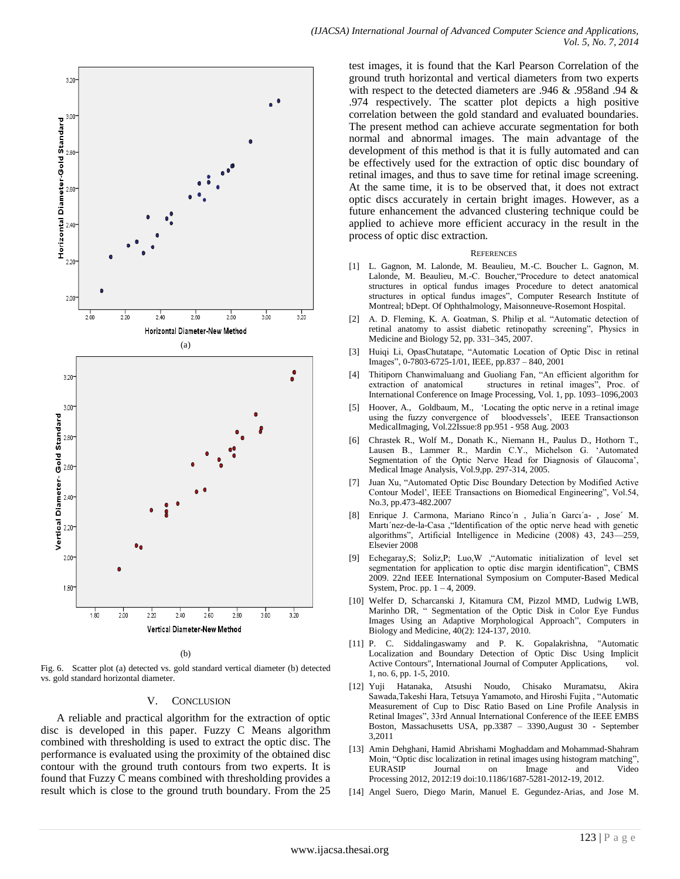

Fig. 6. Scatter plot (a) detected vs. gold standard vertical diameter (b) detected vs. gold standard horizontal diameter.

#### V. CONCLUSION

A reliable and practical algorithm for the extraction of optic disc is developed in this paper. Fuzzy C Means algorithm combined with thresholding is used to extract the optic disc. The performance is evaluated using the proximity of the obtained disc contour with the ground truth contours from two experts. It is found that Fuzzy C means combined with thresholding provides a result which is close to the ground truth boundary. From the 25

test images, it is found that the Karl Pearson Correlation of the ground truth horizontal and vertical diameters from two experts with respect to the detected diameters are .946 & .958and .94 & .974 respectively. The scatter plot depicts a high positive correlation between the gold standard and evaluated boundaries. The present method can achieve accurate segmentation for both normal and abnormal images. The main advantage of the development of this method is that it is fully automated and can be effectively used for the extraction of optic disc boundary of retinal images, and thus to save time for retinal image screening. At the same time, it is to be observed that, it does not extract optic discs accurately in certain bright images. However, as a future enhancement the advanced clustering technique could be applied to achieve more efficient accuracy in the result in the process of optic disc extraction.

#### **REFERENCES**

- [1] L. Gagnon, M. Lalonde, M. Beaulieu, M.-C. Boucher L. Gagnon, M. Lalonde, M. Beaulieu, M.-C. Boucher, "Procedure to detect anatomical structures in optical fundus images Procedure to detect anatomical structures in optical fundus images", Computer Research Institute of Montreal; bDept. Of Ophthalmology, Maisonneuve-Rosemont Hospital.
- [2] A. D. Fleming, K. A. Goatman, S. Philip et al. "Automatic detection of retinal anatomy to assist diabetic retinopathy screening", Physics in Medicine and Biology 52, pp. 331–345, 2007.
- [3] Huiqi Li, OpasChutatape, "Automatic Location of Optic Disc in retinal Images‖, 0-7803-6725-1/01, IEEE, pp.837 – 840, 2001
- [4] Thitiporn Chanwimaluang and Guoliang Fan, "An efficient algorithm for extraction of anatomical structures in retinal images", Proc. of International Conference on Image Processing, Vol. 1, pp. 1093–1096,2003
- [5] [Hoover, A.,](http://ieeexplore.ieee.org/search/searchresult.jsp?searchWithin=Authors:.QT.Hoover,%20A..QT.&newsearch=partialPref) [Goldbaum, M.,](http://ieeexplore.ieee.org/search/searchresult.jsp?searchWithin=Authors:.QT.Goldbaum,%20M..QT.&newsearch=partialPref) ‗Locating the optic nerve in a retinal image using the fuzzy convergence of bloodvessels', IEEE Transactionson [MedicalImaging,](http://ieeexplore.ieee.org/xpl/RecentIssue.jsp?punumber=42) Vol.2[2Issue:8](http://ieeexplore.ieee.org/xpl/tocresult.jsp?isnumber=27355) pp.951 - 958 Aug. 2003
- [6] Chrastek R., Wolf M., Donath K., Niemann H., Paulus D., Hothorn T., Lausen B., Lammer R., Mardin C.Y., Michelson G. ‗Automated Segmentation of the Optic Nerve Head for Diagnosis of Glaucoma', Medical Image Analysis, Vol.9,pp. 297-314, 2005.
- [7] Juan Xu, "Automated Optic Disc Boundary Detection by Modified Active Contour Model', IEEE Transactions on Biomedical Engineering", Vol.54, No.3, pp.473-482.2007
- [8] Enrique J. Carmona, Mariano Rinco´n , Julia´n Garcı´a- , Jose´ M. Marti'nez-de-la-Casa , "Identification of the optic nerve head with genetic algorithms", Artificial Intelligence in Medicine (2008) 43, 243-259, Elsevier 2008
- [9] Echegaray, S; Soliz, P; Luo, W , "Automatic initialization of level set segmentation for application to optic disc margin identification", CBMS 2009. 22nd IEEE International Symposium on [Computer-Based Medical](http://ieeexplore.ieee.org/xpl/mostRecentIssue.jsp?punumber=5230478)  [System,](http://ieeexplore.ieee.org/xpl/mostRecentIssue.jsp?punumber=5230478) Proc. pp. 1 – 4, 2009.
- [10] Welfer D, Scharcanski J, Kitamura CM, Pizzol MMD, Ludwig LWB, Marinho DR, " Segmentation of the Optic Disk in Color Eye Fundus Images Using an Adaptive Morphological Approach", Computers in Biology and Medicine, 40(2): 124-137, 2010.
- [11] P. C. Siddalingaswamy and P. K. Gopalakrishna, "Automatic Localization and Boundary Detection of Optic Disc Using Implicit Active Contours", International Journal of Computer Applications, vol. 1, no. 6, pp. 1-5, 2010.
- [12] Yuji Hatanaka, Atsushi Noudo, Chisako Muramatsu, Akira Sawada,Takeshi Hara, Tetsuya Yamamoto, and Hiroshi Fujita, "Automatic Measurement of Cup to Disc Ratio Based on Line Profile Analysis in Retinal Images", 33rd Annual International Conference of the IEEE EMBS Boston, Massachusetts USA, pp.3387 – 3390,August 30 - September 3,2011
- [13] Amin Dehghani, Hamid Abrishami Moghaddam and Mohammad-Shahram Moin, "Optic disc localization in retinal images using histogram matching",<br>EURASIP Journal on Image and Video EURASIP Journal on Image and Video Processing 2012, 2012:19 doi:10.1186/1687-5281-2012-19, 2012.
- [14] Angel Suero, Diego Marin, Manuel E. Gegundez-Arias, and Jose M.